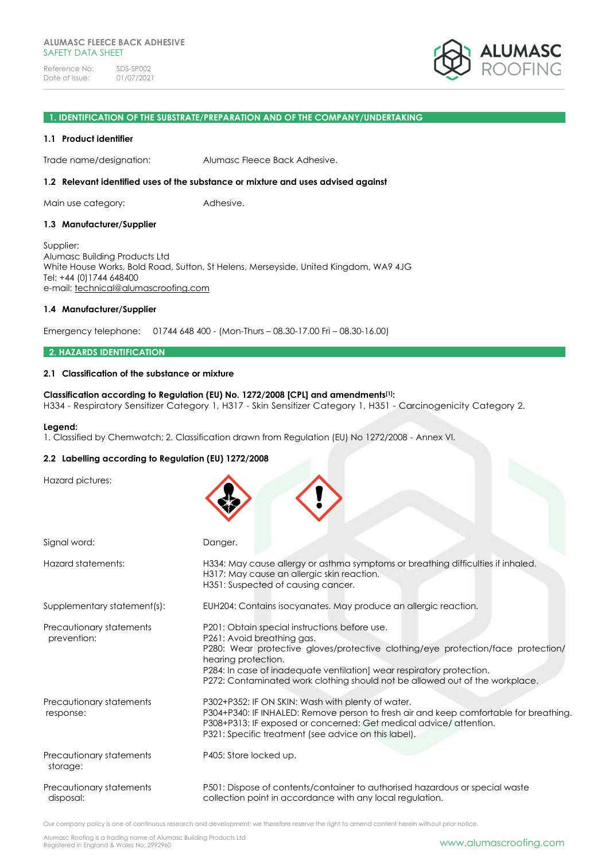#### **1. IDENTIFICATION OF THE SUBSTRATE/PREPARATION AND OF THE COMPANY/UNDERTAKING**

#### **1.1 Product identifier**

Trade name/designation: Alumasc Fleece Back Adhesive.

#### **1.2 Relevant identified uses of the substance or mixture and uses advised against**

Main use category: **Adhesive.** 

#### **1.3 Manufacturer/Supplier**

Supplier: Alumasc Building Products Ltd White House Works, Bold Road, Sutton, St Helens, Merseyside, United Kingdom, WA9 4JG Tel: +44 (0)1744 648400 e-mail: [technical@alumascroofing.com](mailto:technical@alumascroofing.com)

#### **1.4 Manufacturer/Supplier**

Emergency telephone: 01744 648 400 - (Mon-Thurs – 08.30-17.00 Fri – 08.30-16.00)

#### **2. HAZARDS IDENTIFICATION**

#### **2.1 Classification of the substance or mixture**

#### **Classification according to Regulation (EU) No. 1272/2008 [CPL] and amendments[1]:**

H334 - Respiratory Sensitizer Category 1, H317 - Skin Sensitizer Category 1, H351 - Carcinogenicity Category 2.

#### **Legend:**

1. Classified by Chemwatch; 2. Classification drawn from Regulation (EU) No 1272/2008 - Annex VI.

#### **2.2 Labelling according to Regulation (EU) 1272/2008**

| Hazard pictures:                        |                                                                                                                                                                                                                                                                                                                                                 |
|-----------------------------------------|-------------------------------------------------------------------------------------------------------------------------------------------------------------------------------------------------------------------------------------------------------------------------------------------------------------------------------------------------|
| Signal word:                            | Danger.                                                                                                                                                                                                                                                                                                                                         |
| Hazard statements:                      | H334: May cause allergy or asthma symptoms or breathing difficulties if inhaled.<br>H317: May cause an allergic skin reaction.<br>H351: Suspected of causing cancer.                                                                                                                                                                            |
| Supplementary statement(s):             | EUH204: Contains isocyanates. May produce an allergic reaction.                                                                                                                                                                                                                                                                                 |
| Precautionary statements<br>prevention: | P201: Obtain special instructions before use.<br>P261: Avoid breathing gas.<br>P280: Wear protective gloves/protective clothing/eye protection/face protection/<br>hearing protection.<br>P284: In case of inadequate ventilation] wear respiratory protection.<br>P272: Contaminated work clothing should not be allowed out of the workplace. |
| Precautionary statements<br>response:   | P302+P352: IF ON SKIN: Wash with plenty of water.<br>P304+P340: IF INHALED: Remove person to fresh air and keep comfortable for breathing.<br>P308+P313: IF exposed or concerned: Get medical advice/ attention.<br>P321: Specific treatment (see advice on this label).                                                                        |
| Precautionary statements<br>storage:    | P405: Store locked up.                                                                                                                                                                                                                                                                                                                          |
| Precautionary statements<br>disposal:   | P501: Dispose of contents/container to authorised hazardous or special waste<br>collection point in accordance with any local regulation.                                                                                                                                                                                                       |

Our company policy is one of continuous research and development; we therefore reserve the right to amend content herein without prior notice.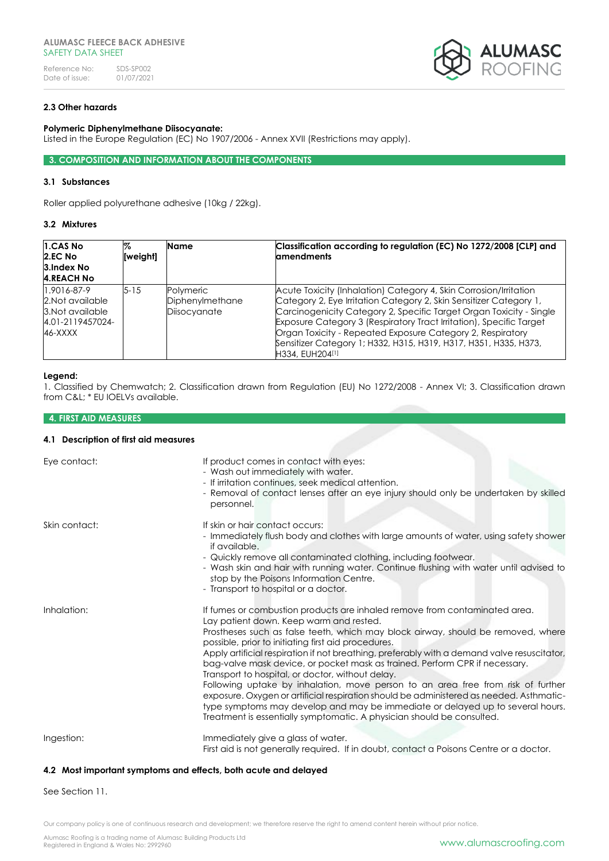

# **2.3 Other hazards**

#### **Polymeric Diphenylmethane Diisocyanate:**

Listed in the Europe Regulation (EC) No 1907/2006 - Annex XVII (Restrictions may apply).

### **3. COMPOSITION AND INFORMATION ABOUT THE COMPONENTS**

#### **3.1 Substances**

Roller applied polyurethane adhesive (10kg / 22kg).

#### **3.2 Mixtures**

| 1.CAS No<br>2.EC No<br>3.Index No<br><b>4.REACH No</b>                             | %<br>[weight] | Name                                         | Classification according to regulation (EC) No 1272/2008 [CLP] and<br><b>amendments</b>                                                                                                                                                                                                                                                                                                                                                    |
|------------------------------------------------------------------------------------|---------------|----------------------------------------------|--------------------------------------------------------------------------------------------------------------------------------------------------------------------------------------------------------------------------------------------------------------------------------------------------------------------------------------------------------------------------------------------------------------------------------------------|
| 1.9016-87-9<br>2. Not available<br>3. Not available<br>4.01-2119457024-<br>46-XXXX | $5 - 15$      | Polymeric<br>Diphenylmethane<br>Diisocyanate | Acute Toxicity (Inhalation) Category 4, Skin Corrosion/Irritation<br>Category 2, Eye Irritation Category 2, Skin Sensitizer Category 1,<br>Carcinogenicity Category 2, Specific Target Organ Toxicity - Single<br>Exposure Category 3 (Respiratory Tract Irritation), Specific Target<br>Organ Toxicity - Repeated Exposure Category 2, Respiratory<br>Sensitizer Category 1; H332, H315, H319, H317, H351, H335, H373,<br>H334, EUH204[1] |

#### **Legend:**

1. Classified by Chemwatch; 2. Classification drawn from Regulation (EU) No 1272/2008 - Annex VI; 3. Classification drawn from C&L; \* EU IOELVs available.

# **4. FIRST AID MEASURES**

#### **4.1 Description of first aid measures**

| Eye contact:  | If product comes in contact with eyes:<br>- Wash out immediately with water.<br>- If irritation continues, seek medical attention.<br>- Removal of contact lenses after an eye injury should only be undertaken by skilled<br>personnel.                                                                                                                                                                                                                                                                                                                                                                                                                                                                                                                                                                                                      |
|---------------|-----------------------------------------------------------------------------------------------------------------------------------------------------------------------------------------------------------------------------------------------------------------------------------------------------------------------------------------------------------------------------------------------------------------------------------------------------------------------------------------------------------------------------------------------------------------------------------------------------------------------------------------------------------------------------------------------------------------------------------------------------------------------------------------------------------------------------------------------|
| Skin contact: | If skin or hair contact occurs:<br>- Immediately flush body and clothes with large amounts of water, using safety shower<br>if available.<br>- Quickly remove all contaminated clothing, including footwear.<br>- Wash skin and hair with running water. Continue flushing with water until advised to<br>stop by the Poisons Information Centre.<br>- Transport to hospital or a doctor.                                                                                                                                                                                                                                                                                                                                                                                                                                                     |
| Inhalation:   | If fumes or combustion products are inhaled remove from contaminated area.<br>Lay patient down. Keep warm and rested.<br>Prostheses such as false teeth, which may block airway, should be removed, where<br>possible, prior to initiating first aid procedures.<br>Apply artificial respiration if not breathing, preferably with a demand valve resuscitator,<br>bag-valve mask device, or pocket mask as trained. Perform CPR if necessary.<br>Transport to hospital, or doctor, without delay.<br>Following uptake by inhalation, move person to an area free from risk of further<br>exposure. Oxygen or artificial respiration should be administered as needed. Asthmatic-<br>type symptoms may develop and may be immediate or delayed up to several hours.<br>Treatment is essentially symptomatic. A physician should be consulted. |
| Ingestion:    | Immediately give a glass of water.<br>First aid is not generally required. If in doubt, contact a Poisons Centre or a doctor.                                                                                                                                                                                                                                                                                                                                                                                                                                                                                                                                                                                                                                                                                                                 |

# **4.2 Most important symptoms and effects, both acute and delayed**

See Section 11.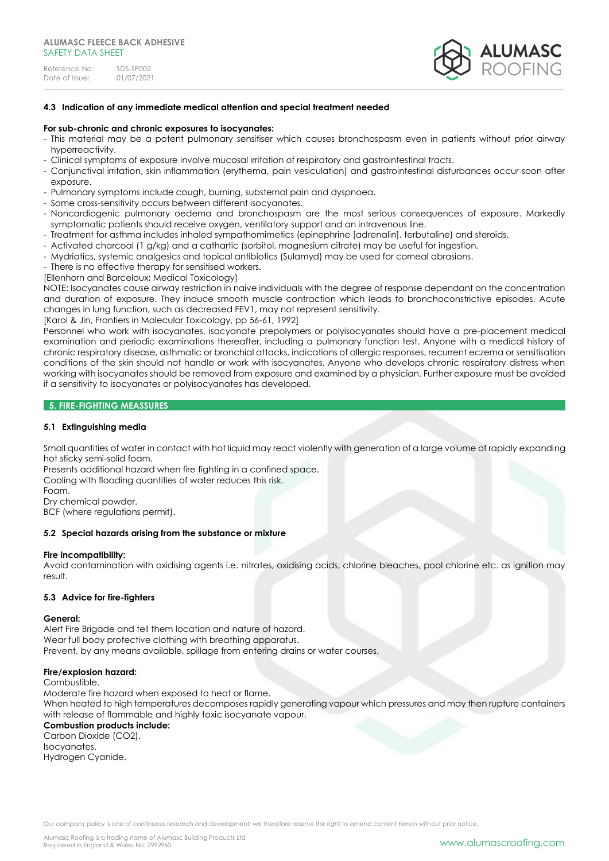

### **4.3 Indication of any immediate medical attention and special treatment needed**

#### **For sub-chronic and chronic exposures to isocyanates:**

- This material may be a potent pulmonary sensitiser which causes bronchospasm even in patients without prior airway hyperreactivity.
- Clinical symptoms of exposure involve mucosal irritation of respiratory and gastrointestinal tracts.
- Conjunctival irritation, skin inflammation (erythema, pain vesiculation) and gastrointestinal disturbances occur soon after exposure.
- Pulmonary symptoms include cough, burning, substernal pain and dyspnoea.
- Some cross-sensitivity occurs between different isocyanates.
- Noncardiogenic pulmonary oedema and bronchospasm are the most serious consequences of exposure. Markedly symptomatic patients should receive oxygen, ventilatory support and an intravenous line.
- Treatment for asthma includes inhaled sympathomimetics (epinephrine [adrenalin], terbutaline) and steroids.
- Activated charcoal (1 g/kg) and a cathartic (sorbitol, magnesium citrate) may be useful for ingestion.
- Mydriatics, systemic analgesics and topical antibiotics (Sulamyd) may be used for corneal abrasions.
- There is no effective therapy for sensitised workers.
- [Ellenhorn and Barceloux; Medical Toxicology]

NOTE: Isocyanates cause airway restriction in naive individuals with the degree of response dependant on the concentration and duration of exposure. They induce smooth muscle contraction which leads to bronchoconstrictive episodes. Acute changes in lung function, such as decreased FEV1, may not represent sensitivity.

[Karol & Jin, Frontiers in Molecular Toxicology, pp 56-61, 1992]

Personnel who work with isocyanates, isocyanate prepolymers or polyisocyanates should have a pre-placement medical examination and periodic examinations thereafter, including a pulmonary function test. Anyone with a medical history of chronic respiratory disease, asthmatic or bronchial attacks, indications of allergic responses, recurrent eczema or sensitisation conditions of the skin should not handle or work with isocyanates. Anyone who develops chronic respiratory distress when working with isocyanates should be removed from exposure and examined by a physician. Further exposure must be avoided if a sensitivity to isocyanates or polyisocyanates has developed.

# **5. FIRE-FIGHTING MEASSURES**

### **5.1 Extinguishing media**

Small quantities of water in contact with hot liquid may react violently with generation of a large volume of rapidly expanding hot sticky semi-solid foam.

Presents additional hazard when fire fighting in a confined space.

Cooling with flooding quantities of water reduces this risk.

Foam.

Dry chemical powder.

BCF (where regulations permit).

### **5.2 Special hazards arising from the substance or mixture**

#### **Fire incompatibility:**

Avoid contamination with oxidising agents i.e. nitrates, oxidising acids, chlorine bleaches, pool chlorine etc. as ignition may result.

#### **5.3 Advice for fire-fighters**

#### **General:**

Alert Fire Brigade and tell them location and nature of hazard. Wear full body protective clothing with breathing apparatus. Prevent, by any means available, spillage from entering drains or water courses.

#### **Fire/explosion hazard:**

#### Combustible.

Moderate fire hazard when exposed to heat or flame. When heated to high temperatures decomposes rapidly generating vapour which pressures and may then rupture containers with release of flammable and highly toxic isocyanate vapour. **Combustion products include:**

Carbon Dioxide (CO2). Isocyanates. Hydrogen Cyanide.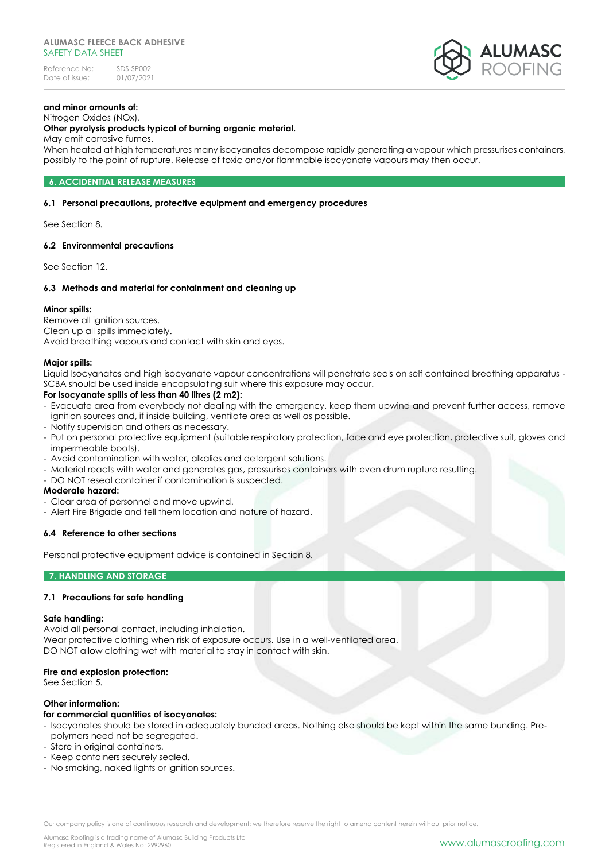

#### **and minor amounts of:** Nitrogen Oxides (NOx).

# **Other pyrolysis products typical of burning organic material.**

May emit corrosive fumes.

When heated at high temperatures many isocyanates decompose rapidly generating a vapour which pressurises containers, possibly to the point of rupture. Release of toxic and/or flammable isocyanate vapours may then occur.

# **6. ACCIDENTIAL RELEASE MEASURES**

# **6.1 Personal precautions, protective equipment and emergency procedures**

See Section 8.

# **6.2 Environmental precautions**

See Section 12.

# **6.3 Methods and material for containment and cleaning up**

#### **Minor spills:**

Remove all ignition sources. Clean up all spills immediately. Avoid breathing vapours and contact with skin and eyes.

# **Major spills:**

Liquid Isocyanates and high isocyanate vapour concentrations will penetrate seals on self contained breathing apparatus - SCBA should be used inside encapsulating suit where this exposure may occur.

#### **For isocyanate spills of less than 40 litres (2 m2):**

- Evacuate area from everybody not dealing with the emergency, keep them upwind and prevent further access, remove ignition sources and, if inside building, ventilate area as well as possible.
- Notify supervision and others as necessary.
- Put on personal protective equipment (suitable respiratory protection, face and eye protection, protective suit, gloves and impermeable boots).
- Avoid contamination with water, alkalies and detergent solutions.
- Material reacts with water and generates gas, pressurises containers with even drum rupture resulting.
- DO NOT reseal container if contamination is suspected.

#### **Moderate hazard:**

- Clear area of personnel and move upwind.
- Alert Fire Brigade and tell them location and nature of hazard.

#### **6.4 Reference to other sections**

Personal protective equipment advice is contained in Section 8.

#### **7. HANDLING AND STORAGE**

# **7.1 Precautions for safe handling**

#### **Safe handling:**

Avoid all personal contact, including inhalation.

Wear protective clothing when risk of exposure occurs. Use in a well-ventilated area. DO NOT allow clothing wet with material to stay in contact with skin.

#### **Fire and explosion protection:**

See Section 5.

#### **Other information:**

#### **for commercial quantities of isocyanates:**

- Isocyanates should be stored in adequately bunded areas. Nothing else should be kept within the same bunding. Prepolymers need not be segregated.
- Store in original containers.
- Keep containers securely sealed.
- No smoking, naked lights or ignition sources.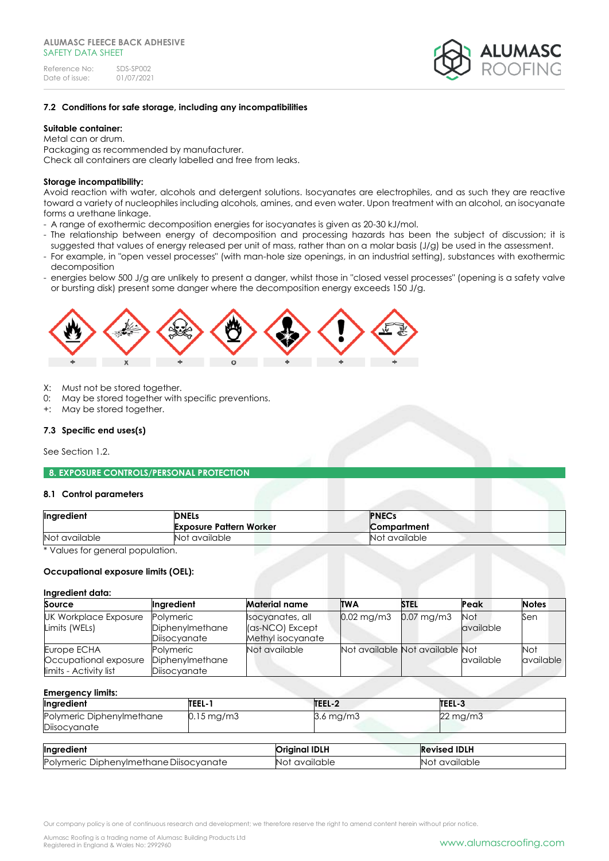

# **7.2 Conditions for safe storage, including any incompatibilities**

# **Suitable container:**

Metal can or drum. Packaging as recommended by manufacturer. Check all containers are clearly labelled and free from leaks.

# **Storage incompatibility:**

Avoid reaction with water, alcohols and detergent solutions. Isocyanates are electrophiles, and as such they are reactive toward a variety of nucleophiles including alcohols, amines, and even water. Upon treatment with an alcohol, an isocyanate forms a urethane linkage.

- A range of exothermic decomposition energies for isocyanates is given as 20-30 kJ/mol.
- The relationship between energy of decomposition and processing hazards has been the subject of discussion; it is suggested that values of energy released per unit of mass, rather than on a molar basis (J/g) be used in the assessment.
- For example, in "open vessel processes" (with man-hole size openings, in an industrial setting), substances with exothermic decomposition
- energies below 500 J/g are unlikely to present a danger, whilst those in "closed vessel processes" (opening is a safety valve or bursting disk) present some danger where the decomposition energy exceeds 150 J/g.



- X: Must not be stored together.
- 0: May be stored together with specific preventions.
- +: May be stored together.

#### **7.3 Specific end uses(s)**

See Section 1.2.

**8. EXPOSURE CONTROLS/PERSONAL PROTECTION** 

#### **8.1 Control parameters**

| Ingredient    | <b>DNELs</b><br><b>Exposure Pattern Worker</b> | <b>PNECs</b><br>Compartment |  |
|---------------|------------------------------------------------|-----------------------------|--|
| Not available | Not available                                  | Not available               |  |

\* Values for general population.

### **Occupational exposure limits (OEL):**

#### **Ingredient data:**

| Source                 | Ingredient      | <b>Material name</b> | <b>TWA</b>                      | <b>STEL</b> | Peak       | <b>Notes</b> |
|------------------------|-----------------|----------------------|---------------------------------|-------------|------------|--------------|
| UK Workplace Exposure  | Polymeric       | Isocyanates, all     | $0.02 \,\mathrm{mg/m3}$         | 0.07 mg/m3  | <b>Not</b> | Sen          |
| Limits (WELs)          | Diphenylmethane | (as-NCO) Except      |                                 |             | available  |              |
|                        | Diisocyanate    | Methyl isocyanate    |                                 |             |            |              |
| Europe ECHA            | Polymeric       | Not available        | Not available Not available Not |             |            | Not          |
| Occupational exposure  | Diphenylmethane |                      |                                 |             | available  | available    |
| limits - Activity list | Diisocyanate    |                      |                                 |             |            |              |

#### **Emergency limits:**

| Ingredient                                | TEEL-1                  | TEEL-2    | TEEL-3   |
|-------------------------------------------|-------------------------|-----------|----------|
| Polymeric Diphenylmethane<br>Diisocyanate | $0.15 \,\mathrm{mg/m3}$ | 3.6 mg/m3 | 22 mg/m3 |
|                                           |                         |           |          |

| Ingredient                             | <b>Original IDLH</b> | <b>Revised IDLH</b> |
|----------------------------------------|----------------------|---------------------|
| Polymeric Diphenylmethane Diisocyanate | Not available        | Not available       |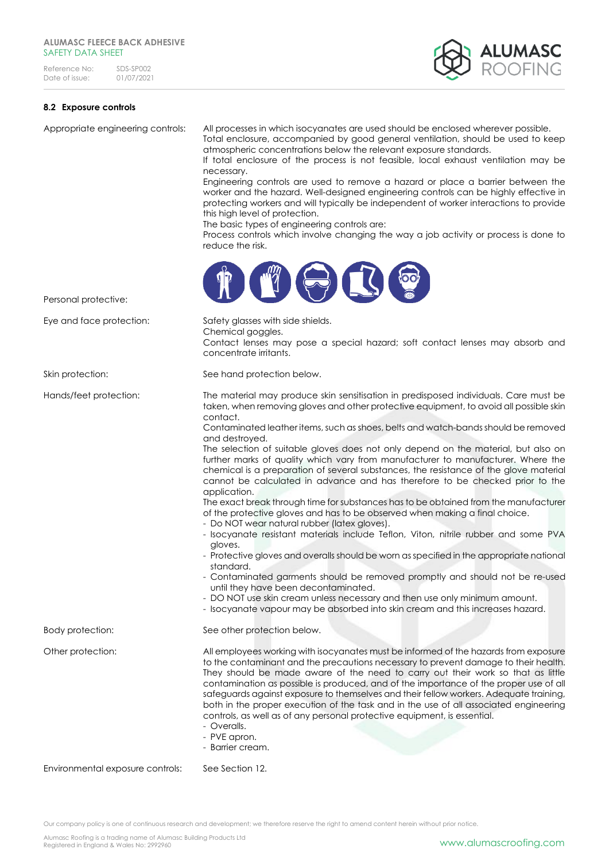

# **8.2 Exposure controls**

Appropriate engineering controls: All processes in which isocyanates are used should be enclosed wherever possible. Total enclosure, accompanied by good general ventilation, should be used to keep atmospheric concentrations below the relevant exposure standards.

> If total enclosure of the process is not feasible, local exhaust ventilation may be necessary.

> Engineering controls are used to remove a hazard or place a barrier between the worker and the hazard. Well-designed engineering controls can be highly effective in protecting workers and will typically be independent of worker interactions to provide this high level of protection.

The basic types of engineering controls are:

Process controls which involve changing the way a job activity or process is done to reduce the risk.



Personal protective:

Eye and face protection: Safety glasses with side shields.

Chemical goggles. Contact lenses may pose a special hazard; soft contact lenses may absorb and concentrate irritants.

Skin protection: See hand protection below.

Hands/feet protection: The material may produce skin sensitisation in predisposed individuals. Care must be taken, when removing gloves and other protective equipment, to avoid all possible skin contact.

Contaminated leather items, such as shoes, belts and watch-bands should be removed and destroyed.

The selection of suitable gloves does not only depend on the material, but also on further marks of quality which vary from manufacturer to manufacturer. Where the chemical is a preparation of several substances, the resistance of the glove material cannot be calculated in advance and has therefore to be checked prior to the application.

The exact break through time for substances has to be obtained from the manufacturer of the protective gloves and has to be observed when making a final choice.

- Do NOT wear natural rubber (latex gloves).
- Isocyanate resistant materials include Teflon, Viton, nitrile rubber and some PVA gloves.
- Protective gloves and overalls should be worn as specified in the appropriate national standard.

- Contaminated garments should be removed promptly and should not be re-used until they have been decontaminated.

- DO NOT use skin cream unless necessary and then use only minimum amount.
- Isocyanate vapour may be absorbed into skin cream and this increases hazard.

Body protection: See other protection below.

Other protection: All employees working with isocyanates must be informed of the hazards from exposure to the contaminant and the precautions necessary to prevent damage to their health. They should be made aware of the need to carry out their work so that as little contamination as possible is produced, and of the importance of the proper use of all safeguards against exposure to themselves and their fellow workers. Adequate training, both in the proper execution of the task and in the use of all associated engineering

controls, as well as of any personal protective equipment, is essential.

- Overalls.
- PVE apron.
- Barrier cream.

Environmental exposure controls: See Section 12.

Our company policy is one of continuous research and development; we therefore reserve the right to amend content herein without prior notice.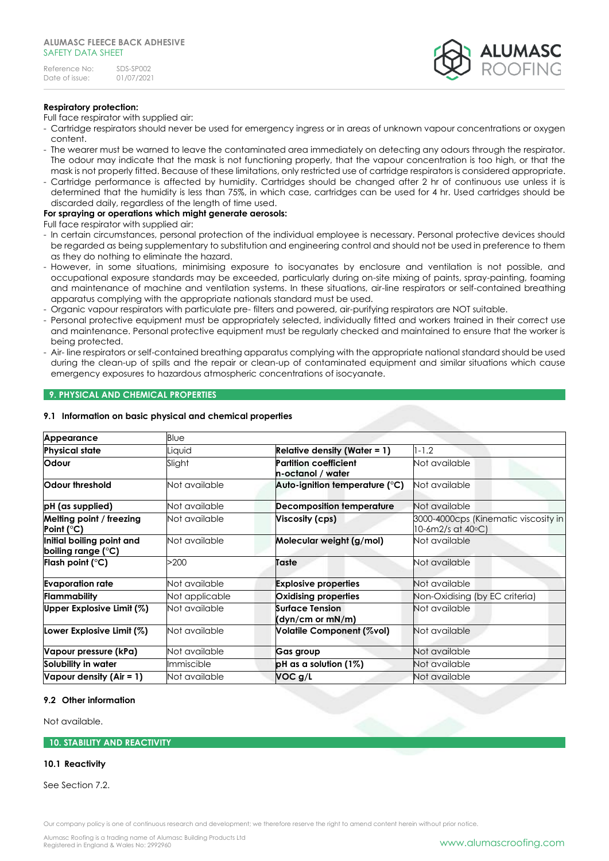# **Respiratory protection:**

Full face respirator with supplied air:

- Cartridge respirators should never be used for emergency ingress or in areas of unknown vapour concentrations or oxygen content.
- The wearer must be warned to leave the contaminated area immediately on detecting any odours through the respirator. The odour may indicate that the mask is not functioning properly, that the vapour concentration is too high, or that the mask is not properly fitted. Because of these limitations, only restricted use of cartridge respirators is considered appropriate.
- Cartridge performance is affected by humidity. Cartridges should be changed after 2 hr of continuous use unless it is determined that the humidity is less than 75%, in which case, cartridges can be used for 4 hr. Used cartridges should be discarded daily, regardless of the length of time used.

# **For spraying or operations which might generate aerosols:**

Full face respirator with supplied air:

- In certain circumstances, personal protection of the individual employee is necessary. Personal protective devices should be regarded as being supplementary to substitution and engineering control and should not be used in preference to them as they do nothing to eliminate the hazard.
- However, in some situations, minimising exposure to isocyanates by enclosure and ventilation is not possible, and occupational exposure standards may be exceeded, particularly during on-site mixing of paints, spray-painting, foaming and maintenance of machine and ventilation systems. In these situations, air-line respirators or self-contained breathing apparatus complying with the appropriate nationals standard must be used.
- Organic vapour respirators with particulate pre- filters and powered, air-purifying respirators are NOT suitable.
- Personal protective equipment must be appropriately selected, individually fitted and workers trained in their correct use and maintenance. Personal protective equipment must be regularly checked and maintained to ensure that the worker is being protected.
- Air- line respirators or self-contained breathing apparatus complying with the appropriate national standard should be used during the clean-up of spills and the repair or clean-up of contaminated equipment and similar situations which cause emergency exposures to hazardous atmospheric concentrations of isocyanate.

# **9. PHYSICAL AND CHEMICAL PROPERTIES**

#### **9.1 Information on basic physical and chemical properties**

| Appearance                                      | Blue           |                                                   |                                                           |
|-------------------------------------------------|----------------|---------------------------------------------------|-----------------------------------------------------------|
| <b>Physical state</b>                           | Liquid         | <b>Relative density (Water = 1)</b>               | $1 - 1.2$                                                 |
| Odour                                           | Slight         | <b>Partition coefficient</b><br>n-octanol / water | Not available                                             |
| Odour threshold                                 | Not available  | Auto-ignition temperature $(^\circ \text{C})$     | Not available                                             |
| pH (as supplied)                                | Not available  | <b>Decomposition temperature</b>                  | Not available                                             |
| Melting point / freezing<br>Point (°C)          | Not available  | Viscosity (cps)                                   | 3000-4000cps (Kinematic viscosity in<br>10-6m2/s at 40°C) |
| Initial boiling point and<br>boiling range (°C) | Not available  | Molecular weight (g/mol)                          | Not available                                             |
| Flash point (°C)                                | >200           | Taste                                             | Not available                                             |
| <b>Evaporation rate</b>                         | Not available  | <b>Explosive properties</b>                       | Not available                                             |
| Flammability                                    | Not applicable | Oxidising properties                              | Non-Oxidising (by EC criteria)                            |
| Upper Explosive Limit (%)                       | Not available  | <b>Surface Tension</b><br>(dyn/cm or mN/m)        | Not available                                             |
| Lower Explosive Limit (%)                       | Not available  | Volatile Component (%vol)                         | Not available                                             |
| Vapour pressure (kPa)                           | Not available  | Gas group                                         | Not available                                             |
| Solubility in water                             | Immiscible     | $pH$ as a solution (1%)                           | Not available                                             |
| Vapour density (Air = 1)                        | Not available  | VOC g/L                                           | Not available                                             |

#### **9.2 Other information**

Not available.

# **10. STABILITY AND REACTIVITY**

#### **10.1 Reactivity**

See Section 7.2.

Our company policy is one of continuous research and development; we therefore reserve the right to amend content herein without prior notice.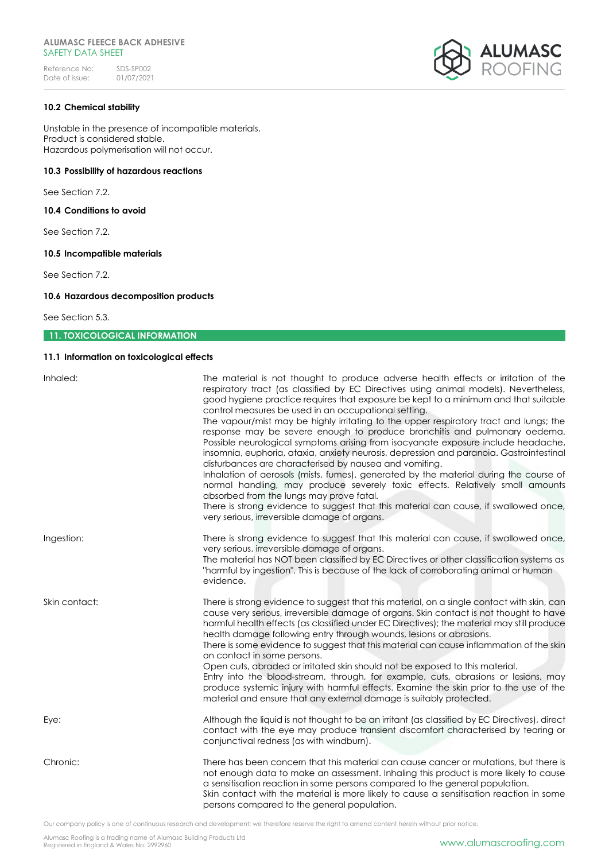

## **10.2 Chemical stability**

Unstable in the presence of incompatible materials. Product is considered stable. Hazardous polymerisation will not occur.

# **10.3 Possibility of hazardous reactions**

See Section 7.2.

**10.4 Conditions to avoid**

See Section 7.2.

# **10.5 Incompatible materials**

See Section 7.2.

# **10.6 Hazardous decomposition products**

See Section 5.3.

# **11. TOXICOLOGICAL INFORMATION**

# **11.1 Information on toxicological effects**

| Inhaled:      | The material is not thought to produce adverse health effects or irritation of the<br>respiratory tract (as classified by EC Directives using animal models). Nevertheless,<br>good hygiene practice requires that exposure be kept to a minimum and that suitable<br>control measures be used in an occupational setting.<br>The vapour/mist may be highly irritating to the upper respiratory tract and lungs; the<br>response may be severe enough to produce bronchitis and pulmonary oedema.<br>Possible neurological symptoms arising from isocyanate exposure include headache,<br>insomnia, euphoria, ataxia, anxiety neurosis, depression and paranoia. Gastrointestinal<br>disturbances are characterised by nausea and vomiting.<br>Inhalation of aerosols (mists, fumes), generated by the material during the course of<br>normal handling, may produce severely toxic effects. Relatively small amounts<br>absorbed from the lungs may prove fatal.<br>There is strong evidence to suggest that this material can cause, if swallowed once,<br>very serious, irreversible damage of organs. |
|---------------|-----------------------------------------------------------------------------------------------------------------------------------------------------------------------------------------------------------------------------------------------------------------------------------------------------------------------------------------------------------------------------------------------------------------------------------------------------------------------------------------------------------------------------------------------------------------------------------------------------------------------------------------------------------------------------------------------------------------------------------------------------------------------------------------------------------------------------------------------------------------------------------------------------------------------------------------------------------------------------------------------------------------------------------------------------------------------------------------------------------|
| Ingestion:    | There is strong evidence to suggest that this material can cause, if swallowed once,<br>very serious, irreversible damage of organs.<br>The material has NOT been classified by EC Directives or other classification systems as<br>"harmful by ingestion". This is because of the lack of corroborating animal or human<br>evidence.                                                                                                                                                                                                                                                                                                                                                                                                                                                                                                                                                                                                                                                                                                                                                                     |
| Skin contact: | There is strong evidence to suggest that this material, on a single contact with skin, can<br>cause very serious, irreversible damage of organs. Skin contact is not thought to have<br>harmful health effects (as classified under EC Directives); the material may still produce<br>health damage following entry through wounds, lesions or abrasions.<br>There is some evidence to suggest that this material can cause inflammation of the skin<br>on contact in some persons.<br>Open cuts, abraded or irritated skin should not be exposed to this material.<br>Entry into the blood-stream, through, for example, cuts, abrasions or lesions, may<br>produce systemic injury with harmful effects. Examine the skin prior to the use of the<br>material and ensure that any external damage is suitably protected.                                                                                                                                                                                                                                                                                |
| Eye:          | Although the liquid is not thought to be an irritant (as classified by EC Directives), direct<br>contact with the eye may produce transient discomfort characterised by tearing or<br>conjunctival redness (as with windburn).                                                                                                                                                                                                                                                                                                                                                                                                                                                                                                                                                                                                                                                                                                                                                                                                                                                                            |
| Chronic:      | There has been concern that this material can cause cancer or mutations, but there is<br>not enough data to make an assessment. Inhaling this product is more likely to cause<br>a sensitisation reaction in some persons compared to the general population.<br>Skin contact with the material is more likely to cause a sensitisation reaction in some<br>persons compared to the general population.                                                                                                                                                                                                                                                                                                                                                                                                                                                                                                                                                                                                                                                                                                   |

Our company policy is one of continuous research and development; we therefore reserve the right to amend content herein without prior notice.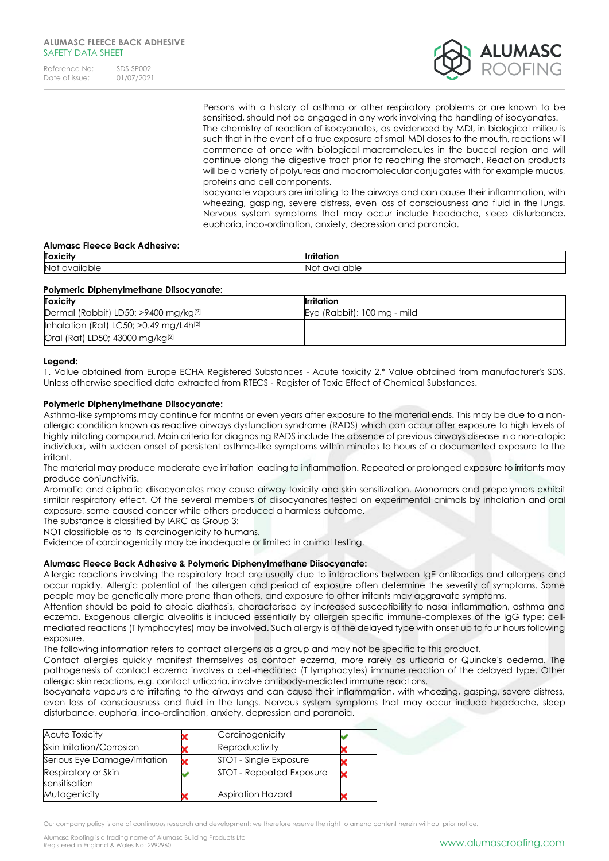

Persons with a history of asthma or other respiratory problems or are known to be sensitised, should not be engaged in any work involving the handling of isocyanates. The chemistry of reaction of isocyanates, as evidenced by MDI, in biological milieu is such that in the event of a true exposure of small MDI doses to the mouth, reactions will commence at once with biological macromolecules in the buccal region and will continue along the digestive tract prior to reaching the stomach. Reaction products will be a variety of polyureas and macromolecular conjugates with for example mucus, proteins and cell components.

Isocyanate vapours are irritating to the airways and can cause their inflammation, with wheezing, gasping, severe distress, even loss of consciousness and fluid in the lungs. Nervous system symptoms that may occur include headache, sleep disturbance, euphoria, inco-ordination, anxiety, depression and paranoia.

#### **Alumasc Fleece Back Adhesive:**

| <b>Toxicity</b> | .                                            |
|-----------------|----------------------------------------------|
| Not<br>vailable | vailab<br>$\mathbf{v}$<br>$\mathbf{v}$<br>uu |

#### **Polymeric Diphenylmethane Diisocyanate:**

| <b>Toxicity</b>                                      | <b>Irritation</b>           |
|------------------------------------------------------|-----------------------------|
| Dermal (Rabbit) LD50: >9400 mg/kg[2]                 | Eye (Rabbit): 100 mg - mild |
| Inhalation (Rat) LC50; $>0.49$ mg/L4h <sup>[2]</sup> |                             |
| Oral (Rat) LD50; 43000 mg/kg <sup>[2]</sup>          |                             |

#### **Legend:**

1. Value obtained from Europe ECHA Registered Substances - Acute toxicity 2.\* Value obtained from manufacturer's SDS. Unless otherwise specified data extracted from RTECS - Register of Toxic Effect of Chemical Substances.

#### **Polymeric Diphenylmethane Diisocyanate:**

Asthma-like symptoms may continue for months or even years after exposure to the material ends. This may be due to a nonallergic condition known as reactive airways dysfunction syndrome (RADS) which can occur after exposure to high levels of highly irritating compound. Main criteria for diagnosing RADS include the absence of previous airways disease in a non-atopic individual, with sudden onset of persistent asthma-like symptoms within minutes to hours of a documented exposure to the irritant.

The material may produce moderate eye irritation leading to inflammation. Repeated or prolonged exposure to irritants may produce conjunctivitis.

Aromatic and aliphatic diisocyanates may cause airway toxicity and skin sensitization. Monomers and prepolymers exhibit similar respiratory effect. Of the several members of diisocyanates tested on experimental animals by inhalation and oral exposure, some caused cancer while others produced a harmless outcome.

The substance is classified by IARC as Group 3:

NOT classifiable as to its carcinogenicity to humans.

Evidence of carcinogenicity may be inadequate or limited in animal testing.

## **Alumasc Fleece Back Adhesive & Polymeric Diphenylmethane Diisocyanate:**

Allergic reactions involving the respiratory tract are usually due to interactions between IgE antibodies and allergens and occur rapidly. Allergic potential of the allergen and period of exposure often determine the severity of symptoms. Some people may be genetically more prone than others, and exposure to other irritants may aggravate symptoms.

Attention should be paid to atopic diathesis, characterised by increased susceptibility to nasal inflammation, asthma and eczema. Exogenous allergic alveolitis is induced essentially by allergen specific immune-complexes of the IgG type; cellmediated reactions (T lymphocytes) may be involved. Such allergy is of the delayed type with onset up to four hours following exposure.

The following information refers to contact allergens as a group and may not be specific to this product.

Contact allergies quickly manifest themselves as contact eczema, more rarely as urticaria or Quincke's oedema. The pathogenesis of contact eczema involves a cell-mediated (T lymphocytes) immune reaction of the delayed type. Other allergic skin reactions, e.g. contact urticaria, involve antibody-mediated immune reactions.

Isocyanate vapours are irritating to the airways and can cause their inflammation, with wheezing, gasping, severe distress, even loss of consciousness and fluid in the lungs. Nervous system symptoms that may occur include headache, sleep disturbance, euphoria, inco-ordination, anxiety, depression and paranoia.

| <b>Acute Toxicity</b>                | Carcinogenicity                 |  |
|--------------------------------------|---------------------------------|--|
| Skin Irritation/Corrosion            | Reproductivity                  |  |
| Serious Eye Damage/Irritation        | STOT - Single Exposure          |  |
| Respiratory or Skin<br>sensitisation | <b>STOT - Repeated Exposure</b> |  |
| Mutagenicity                         | <b>Aspiration Hazard</b>        |  |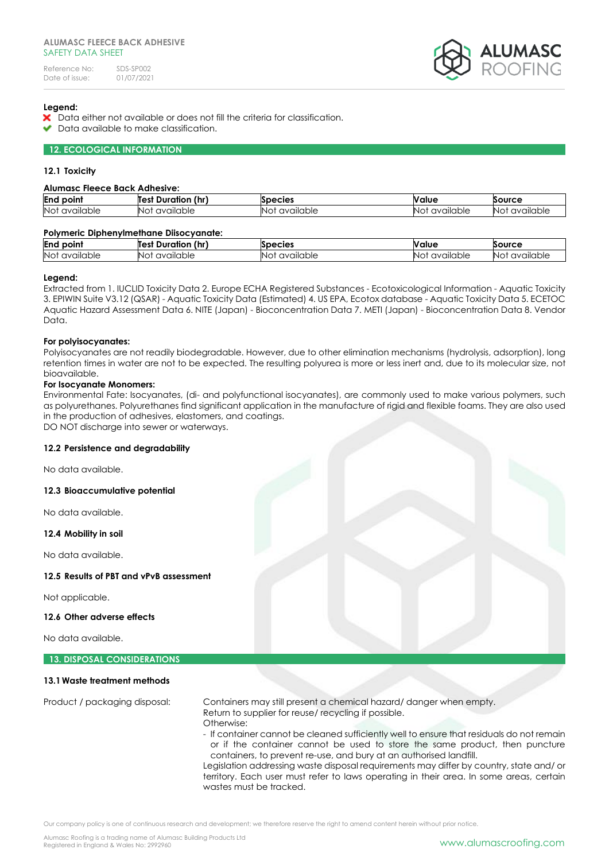

# **Legend:**

- X Data either not available or does not fill the criteria for classification.
- $\blacktriangleright$  Data available to make classification.

# **12. ECOLOGICAL INFORMATION**

### **12.1 Toxicity**

#### **Alumasc Fleece Back Adhesive:**

| End<br>point     | <br>(hr<br>Test<br>Duration | <b>pecies</b>    | Nalue         | Source                                                                    |
|------------------|-----------------------------|------------------|---------------|---------------------------------------------------------------------------|
| No:<br>available | available<br>'Not           | available<br>INC | vailable<br>N | $\ddot{\phantom{1}}$<br>lable<br>$\sim$<br>$\sim$<br>NΟ<br>1V)<br>uu<br>ີ |

# **Polymeric Diphenylmethane Diisocyanate:**

| End<br>point                     | (hr<br>Test<br><sub>⊶</sub> ⊾ Duraties | <b>CIES</b>                   | <b>Value</b>                | วบrce<br><b>DO</b>  |
|----------------------------------|----------------------------------------|-------------------------------|-----------------------------|---------------------|
| No <sup>-</sup><br>ailable<br>αv | available<br>NO.                       | <i>'</i> allable<br><b>NC</b> | $\cdots$<br>available<br>N7 | <br>available<br>۱۷ |

#### **Legend:**

Extracted from 1. IUCLID Toxicity Data 2. Europe ECHA Registered Substances - Ecotoxicological Information - Aquatic Toxicity 3. EPIWIN Suite V3.12 (QSAR) - Aquatic Toxicity Data (Estimated) 4. US EPA, Ecotox database - Aquatic Toxicity Data 5. ECETOC Aquatic Hazard Assessment Data 6. NITE (Japan) - Bioconcentration Data 7. METI (Japan) - Bioconcentration Data 8. Vendor Data.

#### **For polyisocyanates:**

Polyisocyanates are not readily biodegradable. However, due to other elimination mechanisms (hydrolysis, adsorption), long retention times in water are not to be expected. The resulting polyurea is more or less inert and, due to its molecular size, not bioavailable.

#### **For Isocyanate Monomers:**

Environmental Fate: Isocyanates, (di- and polyfunctional isocyanates), are commonly used to make various polymers, such as polyurethanes. Polyurethanes find significant application in the manufacture of rigid and flexible foams. They are also used in the production of adhesives, elastomers, and coatings. DO NOT discharge into sewer or waterways.

#### **12.2 Persistence and degradability**

No data available.

# **12.3 Bioaccumulative potential**

No data available.

**12.4 Mobility in soil**

No data available.

#### **12.5 Results of PBT and vPvB assessment**

Not applicable.

#### **12.6 Other adverse effects**

No data available.

# **13. DISPOSAL CONSIDERATIONS**

### **13.1Waste treatment methods**

Product / packaging disposal: Containers may still present a chemical hazard/ danger when empty. Return to supplier for reuse/ recycling if possible. Otherwise:

- If container cannot be cleaned sufficiently well to ensure that residuals do not remain or if the container cannot be used to store the same product, then puncture containers, to prevent re-use, and bury at an authorised landfill.

Legislation addressing waste disposal requirements may differ by country, state and/ or territory. Each user must refer to laws operating in their area. In some areas, certain wastes must be tracked.

Our company policy is one of continuous research and development; we therefore reserve the right to amend content herein without prior notice.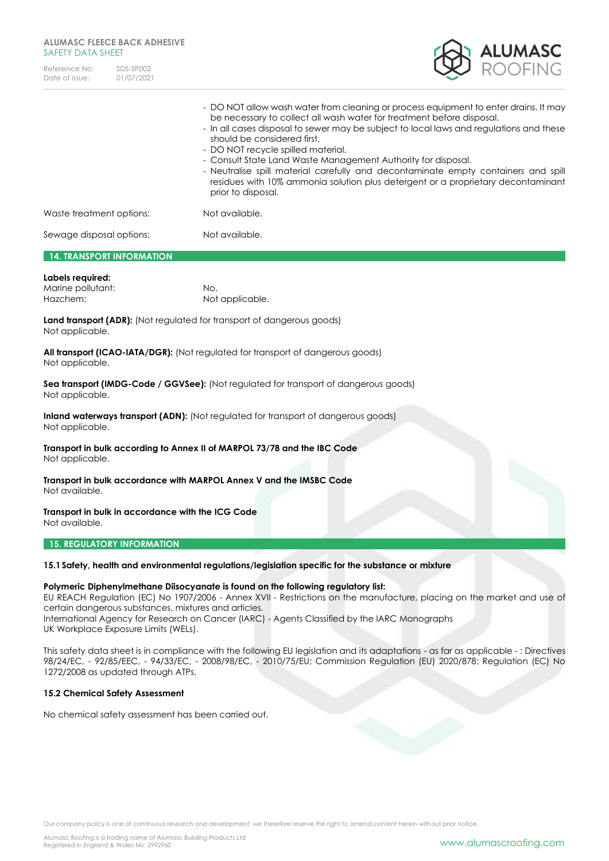| Reference No:  | SDS-SP002  |
|----------------|------------|
| Date of issue: | 01/07/2021 |



|                                  | - DO NOT allow wash water from cleaning or process equipment to enter drains. It may<br>be necessary to collect all wash water for treatment before disposal.<br>- In all cases disposal to sewer may be subject to local laws and regulations and these<br>should be considered first.<br>- DO NOT recycle spilled material.<br>- Consult State Land Waste Management Authority for disposal.<br>- Neutralise spill material carefully and decontaminate empty containers and spill<br>residues with 10% ammonia solution plus detergent or a proprietary decontaminant<br>prior to disposal. |
|----------------------------------|------------------------------------------------------------------------------------------------------------------------------------------------------------------------------------------------------------------------------------------------------------------------------------------------------------------------------------------------------------------------------------------------------------------------------------------------------------------------------------------------------------------------------------------------------------------------------------------------|
| Waste treatment options:         | Not available.                                                                                                                                                                                                                                                                                                                                                                                                                                                                                                                                                                                 |
| Sewage disposal options:         | Not available.                                                                                                                                                                                                                                                                                                                                                                                                                                                                                                                                                                                 |
| <b>14. TRANSPORT INFORMATION</b> |                                                                                                                                                                                                                                                                                                                                                                                                                                                                                                                                                                                                |

#### **Labels required:**

| ------------      |                 |
|-------------------|-----------------|
| Marine pollutant: | No.             |
| Hazchem:          | Not applicable. |

Land transport (ADR): (Not regulated for transport of dangerous goods) Not applicable.

**All transport (ICAO-IATA/DGR):** (Not regulated for transport of dangerous goods) Not applicable.

**Sea transport (IMDG-Code / GGVSee):** (Not regulated for transport of dangerous goods) Not applicable.

**Inland waterways transport (ADN):** (Not regulated for transport of dangerous goods) Not applicable.

**Transport in bulk according to Annex II of MARPOL 73/78 and the IBC Code** Not applicable.

**Transport in bulk accordance with MARPOL Annex V and the IMSBC Code** Not available.

**Transport in bulk in accordance with the ICG Code** Not available.

#### **15. REGULATORY INFORMATION**

# **15.1Safety, health and environmental regulations/legislation specific for the substance or mixture**

#### **Polymeric Diphenylmethane Diisocyanate is found on the following regulatory list:**

EU REACH Regulation (EC) No 1907/2006 - Annex XVII - Restrictions on the manufacture, placing on the market and use of certain dangerous substances, mixtures and articles.

International Agency for Research on Cancer (IARC) - Agents Classified by the IARC Monographs UK Workplace Exposure Limits (WELs).

This safety data sheet is in compliance with the following EU legislation and its adaptations - as far as applicable - : Directives 98/24/EC, - 92/85/EEC, - 94/33/EC, - 2008/98/EC, - 2010/75/EU; Commission Regulation (EU) 2020/878; Regulation (EC) No 1272/2008 as updated through ATPs.

#### **15.2 Chemical Safety Assessment**

No chemical safety assessment has been carried out.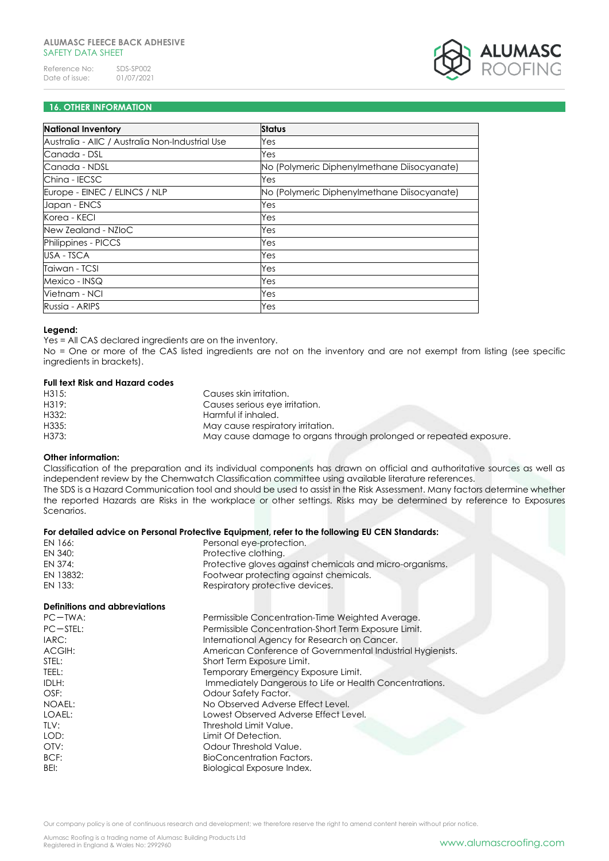

# **16. OTHER INFORMATION**

| <b>National Inventory</b>                       | <b>Status</b>                               |
|-------------------------------------------------|---------------------------------------------|
| Australia - AIIC / Australia Non-Industrial Use | Yes                                         |
| Canada - DSL                                    | Yes                                         |
| Canada - NDSL                                   | No (Polymeric Diphenylmethane Diisocyanate) |
| China - IECSC                                   | Yes                                         |
| Europe - EINEC / ELINCS / NLP                   | No (Polymeric Diphenylmethane Diisocyanate) |
| Japan - ENCS                                    | Yes                                         |
| Korea - KECI                                    | Yes                                         |
| New Zealand - NZIoC                             | Yes                                         |
| <b>Philippines - PICCS</b>                      | Yes                                         |
| USA - TSCA                                      | Yes                                         |
| Taiwan - TCSI                                   | Yes                                         |
| Mexico - INSQ                                   | Yes                                         |
| Vietnam - NCI                                   | Yes                                         |
| Russia - ARIPS                                  | Yes                                         |

#### **Legend:**

Yes = All CAS declared ingredients are on the inventory.

No = One or more of the CAS listed ingredients are not on the inventory and are not exempt from listing (see specific ingredients in brackets).

#### **Full text Risk and Hazard codes**

| H315: | Causes skin irritation.                                            |
|-------|--------------------------------------------------------------------|
| H319: | Causes serious eye irritation.                                     |
| H332: | Harmful if inhaled.                                                |
| H335: | May cause respiratory irritation.                                  |
| H373: | May cause damage to organs through prolonged or repeated exposure. |

# **Other information:**

Classification of the preparation and its individual components has drawn on official and authoritative sources as well as independent review by the Chemwatch Classification committee using available literature references. The SDS is a Hazard Communication tool and should be used to assist in the Risk Assessment. Many factors determine whether the reported Hazards are Risks in the workplace or other settings. Risks may be determined by reference to Exposures Scenarios.

#### **For detailed advice on Personal Protective Equipment, refer to the following EU CEN Standards:**

| EN 166:   | Personal eye-protection.                                 |
|-----------|----------------------------------------------------------|
| EN 340:   | Protective clothing.                                     |
| EN 374:   | Protective gloves against chemicals and micro-organisms. |
| EN 13832: | Footwear protecting against chemicals.                   |
| EN 133:   | Respiratory protective devices.                          |

#### **Definitions and abbreviations**

| $PC-TWA$ : | Permissible Concentration-Time Weighted Average.           |
|------------|------------------------------------------------------------|
| $PC-STEL:$ | Permissible Concentration-Short Term Exposure Limit.       |
| IARC:      | International Agency for Research on Cancer.               |
| ACGIH:     | American Conference of Governmental Industrial Hygienists. |
| STEL:      | Short Term Exposure Limit.                                 |
| TEEL:      | Temporary Emergency Exposure Limit.                        |
| IDLH:      | Immediately Dangerous to Life or Health Concentrations.    |
| OSF:       | Odour Safety Factor.                                       |
| NOAEL:     | No Observed Adverse Effect Level.                          |
| LOAEL:     | Lowest Observed Adverse Effect Level.                      |
| TI V:      | Threshold Limit Value.                                     |
| LOD:       | Limit Of Detection.                                        |
| OTV:       | Odour Threshold Value.                                     |
| BCF:       | BioConcentration Factors.                                  |
| BEI:       | Biological Exposure Index.                                 |
|            |                                                            |